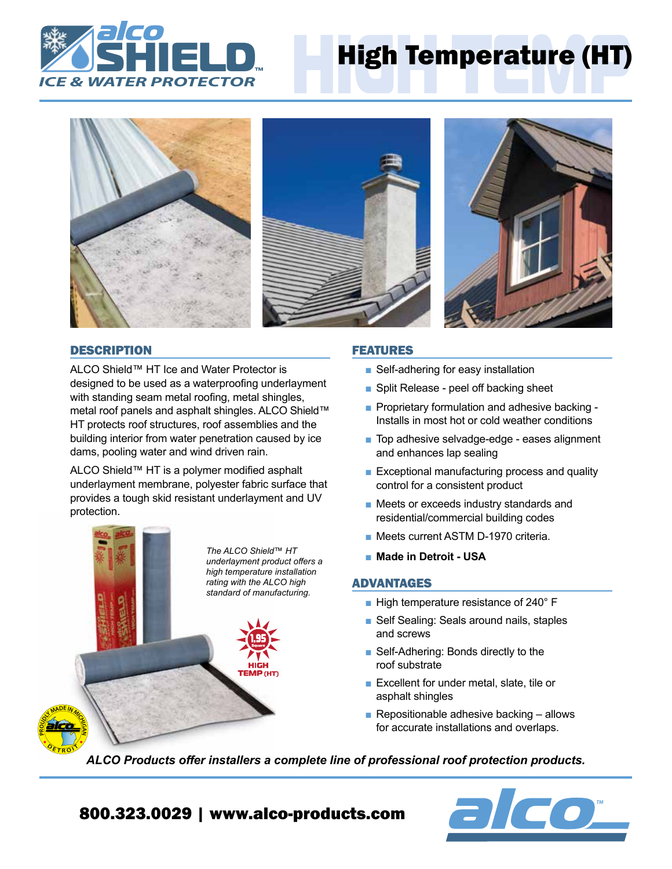

# High Temperature (HT)







# **DESCRIPTION**

ALCO Shield™ HT Ice and Water Protector is designed to be used as a waterproofing underlayment with standing seam metal roofing, metal shingles, metal roof panels and asphalt shingles. ALCO Shield™ HT protects roof structures, roof assemblies and the building interior from water penetration caused by ice dams, pooling water and wind driven rain.

ALCO Shield™ HT is a polymer modified asphalt underlayment membrane, polyester fabric surface that provides a tough skid resistant underlayment and UV protection.



# FEATURES

- Self-adhering for easy installation
- Split Release peel off backing sheet
- Proprietary formulation and adhesive backing -Installs in most hot or cold weather conditions
- Top adhesive selvadge-edge eases alignment and enhances lap sealing
- Exceptional manufacturing process and quality control for a consistent product
- Meets or exceeds industry standards and residential/commercial building codes
- Meets current ASTM D-1970 criteria.
- Made in Detroit USA

# ADVANTAGES

- High temperature resistance of 240° F
- Self Sealing: Seals around nails, staples and screws
- Self-Adhering: Bonds directly to the roof substrate
- Excellent for under metal, slate, tile or asphalt shingles
- **Repositionable adhesive backing allows** for accurate installations and overlaps.

*ALCO Products offer installers a complete line of professional roof protection products.*



800.323.0029 | www.alco-products.com